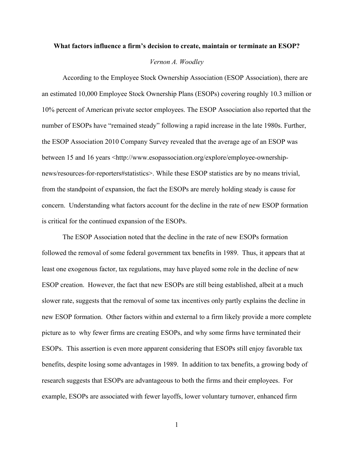# **What factors influence a firm's decision to create, maintain or terminate an ESOP?**

# *Vernon A. Woodley*

According to the Employee Stock Ownership Association (ESOP Association), there are an estimated 10,000 Employee Stock Ownership Plans (ESOPs) covering roughly 10.3 million or 10% percent of American private sector employees. The ESOP Association also reported that the number of ESOPs have "remained steady" following a rapid increase in the late 1980s. Further, the ESOP Association 2010 Company Survey revealed that the average age of an ESOP was between 15 and 16 years <http://www.esopassociation.org/explore/employee-ownershipnews/resources-for-reporters#statistics>. While these ESOP statistics are by no means trivial, from the standpoint of expansion, the fact the ESOPs are merely holding steady is cause for concern. Understanding what factors account for the decline in the rate of new ESOP formation is critical for the continued expansion of the ESOPs.

The ESOP Association noted that the decline in the rate of new ESOPs formation followed the removal of some federal government tax benefits in 1989. Thus, it appears that at least one exogenous factor, tax regulations, may have played some role in the decline of new ESOP creation. However, the fact that new ESOPs are still being established, albeit at a much slower rate, suggests that the removal of some tax incentives only partly explains the decline in new ESOP formation. Other factors within and external to a firm likely provide a more complete picture as to why fewer firms are creating ESOPs, and why some firms have terminated their ESOPs. This assertion is even more apparent considering that ESOPs still enjoy favorable tax benefits, despite losing some advantages in 1989. In addition to tax benefits, a growing body of research suggests that ESOPs are advantageous to both the firms and their employees. For example, ESOPs are associated with fewer layoffs, lower voluntary turnover, enhanced firm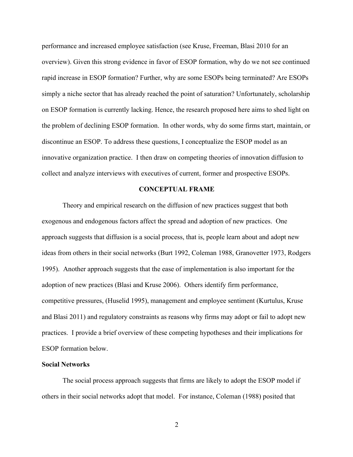performance and increased employee satisfaction (see Kruse, Freeman, Blasi 2010 for an overview). Given this strong evidence in favor of ESOP formation, why do we not see continued rapid increase in ESOP formation? Further, why are some ESOPs being terminated? Are ESOPs simply a niche sector that has already reached the point of saturation? Unfortunately, scholarship on ESOP formation is currently lacking. Hence, the research proposed here aims to shed light on the problem of declining ESOP formation. In other words, why do some firms start, maintain, or discontinue an ESOP. To address these questions, I conceptualize the ESOP model as an innovative organization practice. I then draw on competing theories of innovation diffusion to collect and analyze interviews with executives of current, former and prospective ESOPs.

# **CONCEPTUAL FRAME**

Theory and empirical research on the diffusion of new practices suggest that both exogenous and endogenous factors affect the spread and adoption of new practices. One approach suggests that diffusion is a social process, that is, people learn about and adopt new ideas from others in their social networks (Burt 1992, Coleman 1988, Granovetter 1973, Rodgers 1995). Another approach suggests that the ease of implementation is also important for the adoption of new practices (Blasi and Kruse 2006). Others identify firm performance, competitive pressures, (Huselid 1995), management and employee sentiment (Kurtulus, Kruse and Blasi 2011) and regulatory constraints as reasons why firms may adopt or fail to adopt new practices. I provide a brief overview of these competing hypotheses and their implications for ESOP formation below.

### **Social Networks**

The social process approach suggests that firms are likely to adopt the ESOP model if others in their social networks adopt that model. For instance, Coleman (1988) posited that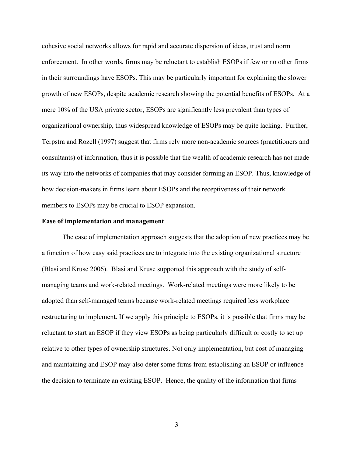cohesive social networks allows for rapid and accurate dispersion of ideas, trust and norm enforcement. In other words, firms may be reluctant to establish ESOPs if few or no other firms in their surroundings have ESOPs. This may be particularly important for explaining the slower growth of new ESOPs, despite academic research showing the potential benefits of ESOPs. At a mere 10% of the USA private sector, ESOPs are significantly less prevalent than types of organizational ownership, thus widespread knowledge of ESOPs may be quite lacking. Further, Terpstra and Rozell (1997) suggest that firms rely more non-academic sources (practitioners and consultants) of information, thus it is possible that the wealth of academic research has not made its way into the networks of companies that may consider forming an ESOP. Thus, knowledge of how decision-makers in firms learn about ESOPs and the receptiveness of their network members to ESOPs may be crucial to ESOP expansion.

### **Ease of implementation and management**

The ease of implementation approach suggests that the adoption of new practices may be a function of how easy said practices are to integrate into the existing organizational structure (Blasi and Kruse 2006). Blasi and Kruse supported this approach with the study of selfmanaging teams and work-related meetings. Work-related meetings were more likely to be adopted than self-managed teams because work-related meetings required less workplace restructuring to implement. If we apply this principle to ESOPs, it is possible that firms may be reluctant to start an ESOP if they view ESOPs as being particularly difficult or costly to set up relative to other types of ownership structures. Not only implementation, but cost of managing and maintaining and ESOP may also deter some firms from establishing an ESOP or influence the decision to terminate an existing ESOP. Hence, the quality of the information that firms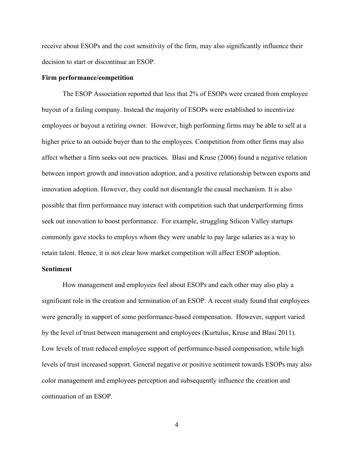receive about ESOPs and the cost sensitivity of the firm, may also significantly influence their decision to start or discontinue an ESOP.

# **Firm performance/competition**

The ESOP Association reported that less that 2% of ESOPs were created from employee buyout of a failing company. Instead the majority of ESOPs were established to incentivize employees or buyout a retiring owner. However, high performing firms may be able to sell at a higher price to an outside buyer than to the employees. Competition from other firms may also affect whether a firm seeks out new practices. Blasi and Kruse (2006) found a negative relation between import growth and innovation adoption, and a positive relationship between exports and innovation adoption. However, they could not disentangle the causal mechanism. It is also possible that firm performance may interact with competition such that underperforming firms seek out innovation to boost performance. For example, struggling Silicon Valley startups commonly gave stocks to employs whom they were unable to pay large salaries as a way to retain talent. Hence, it is not clear how market competition will affect ESOP adoption.

# **Sentiment**

How management and employees feel about ESOPs and each other may also play a significant role in the creation and termination of an ESOP. A recent study found that employees were generally in support of some performance-based compensation. However, support varied by the level of trust between management and employees (Kurtulus, Kruse and Blasi 2011). Low levels of trust reduced employee support of performance-based compensation, while high levels of trust increased support. General negative or positive sentiment towards ESOPs may also color management and employees perception and subsequently influence the creation and continuation of an ESOP.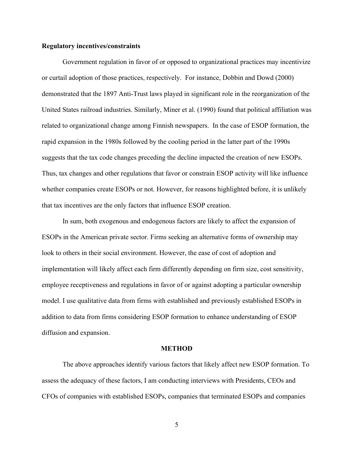# **Regulatory incentives/constraints**

Government regulation in favor of or opposed to organizational practices may incentivize or curtail adoption of those practices, respectively. For instance, Dobbin and Dowd (2000) demonstrated that the 1897 Anti-Trust laws played in significant role in the reorganization of the United States railroad industries. Similarly, Miner et al. (1990) found that political affiliation was related to organizational change among Finnish newspapers. In the case of ESOP formation, the rapid expansion in the 1980s followed by the cooling period in the latter part of the 1990s suggests that the tax code changes preceding the decline impacted the creation of new ESOPs. Thus, tax changes and other regulations that favor or constrain ESOP activity will like influence whether companies create ESOPs or not. However, for reasons highlighted before, it is unlikely that tax incentives are the only factors that influence ESOP creation.

In sum, both exogenous and endogenous factors are likely to affect the expansion of ESOPs in the American private sector. Firms seeking an alternative forms of ownership may look to others in their social environment. However, the ease of cost of adoption and implementation will likely affect each firm differently depending on firm size, cost sensitivity, employee receptiveness and regulations in favor of or against adopting a particular ownership model. I use qualitative data from firms with established and previously established ESOPs in addition to data from firms considering ESOP formation to enhance understanding of ESOP diffusion and expansion.

# **METHOD**

The above approaches identify various factors that likely affect new ESOP formation. To assess the adequacy of these factors, I am conducting interviews with Presidents, CEOs and CFOs of companies with established ESOPs, companies that terminated ESOPs and companies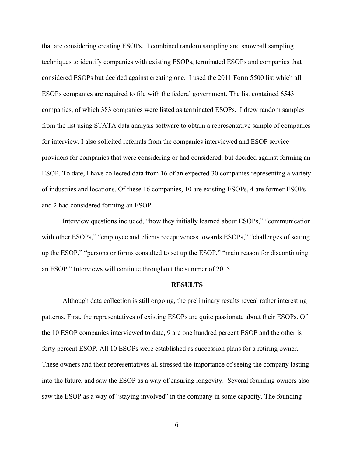that are considering creating ESOPs. I combined random sampling and snowball sampling techniques to identify companies with existing ESOPs, terminated ESOPs and companies that considered ESOPs but decided against creating one. I used the 2011 Form 5500 list which all ESOPs companies are required to file with the federal government. The list contained 6543 companies, of which 383 companies were listed as terminated ESOPs. I drew random samples from the list using STATA data analysis software to obtain a representative sample of companies for interview. I also solicited referrals from the companies interviewed and ESOP service providers for companies that were considering or had considered, but decided against forming an ESOP. To date, I have collected data from 16 of an expected 30 companies representing a variety of industries and locations. Of these 16 companies, 10 are existing ESOPs, 4 are former ESOPs and 2 had considered forming an ESOP.

Interview questions included, "how they initially learned about ESOPs," "communication with other ESOPs," "employee and clients receptiveness towards ESOPs," "challenges of setting up the ESOP," "persons or forms consulted to set up the ESOP," "main reason for discontinuing an ESOP." Interviews will continue throughout the summer of 2015.

#### **RESULTS**

Although data collection is still ongoing, the preliminary results reveal rather interesting patterns. First, the representatives of existing ESOPs are quite passionate about their ESOPs. Of the 10 ESOP companies interviewed to date, 9 are one hundred percent ESOP and the other is forty percent ESOP. All 10 ESOPs were established as succession plans for a retiring owner. These owners and their representatives all stressed the importance of seeing the company lasting into the future, and saw the ESOP as a way of ensuring longevity. Several founding owners also saw the ESOP as a way of "staying involved" in the company in some capacity. The founding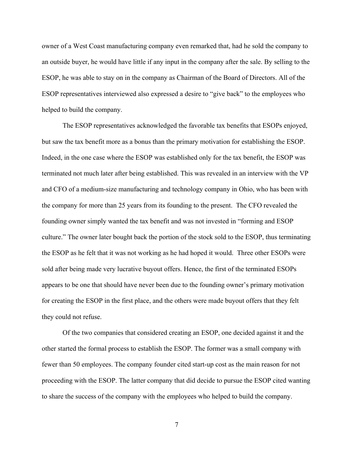owner of a West Coast manufacturing company even remarked that, had he sold the company to an outside buyer, he would have little if any input in the company after the sale. By selling to the ESOP, he was able to stay on in the company as Chairman of the Board of Directors. All of the ESOP representatives interviewed also expressed a desire to "give back" to the employees who helped to build the company.

The ESOP representatives acknowledged the favorable tax benefits that ESOPs enjoyed, but saw the tax benefit more as a bonus than the primary motivation for establishing the ESOP. Indeed, in the one case where the ESOP was established only for the tax benefit, the ESOP was terminated not much later after being established. This was revealed in an interview with the VP and CFO of a medium-size manufacturing and technology company in Ohio, who has been with the company for more than 25 years from its founding to the present. The CFO revealed the founding owner simply wanted the tax benefit and was not invested in "forming and ESOP culture." The owner later bought back the portion of the stock sold to the ESOP, thus terminating the ESOP as he felt that it was not working as he had hoped it would. Three other ESOPs were sold after being made very lucrative buyout offers. Hence, the first of the terminated ESOPs appears to be one that should have never been due to the founding owner's primary motivation for creating the ESOP in the first place, and the others were made buyout offers that they felt they could not refuse.

Of the two companies that considered creating an ESOP, one decided against it and the other started the formal process to establish the ESOP. The former was a small company with fewer than 50 employees. The company founder cited start-up cost as the main reason for not proceeding with the ESOP. The latter company that did decide to pursue the ESOP cited wanting to share the success of the company with the employees who helped to build the company.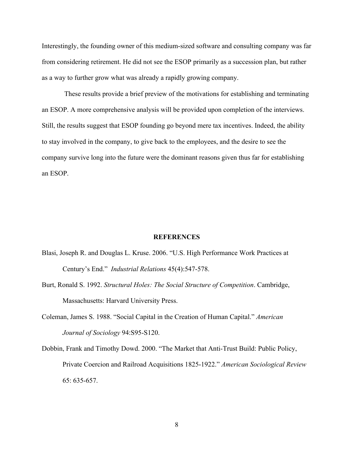Interestingly, the founding owner of this medium-sized software and consulting company was far from considering retirement. He did not see the ESOP primarily as a succession plan, but rather as a way to further grow what was already a rapidly growing company.

These results provide a brief preview of the motivations for establishing and terminating an ESOP. A more comprehensive analysis will be provided upon completion of the interviews. Still, the results suggest that ESOP founding go beyond mere tax incentives. Indeed, the ability to stay involved in the company, to give back to the employees, and the desire to see the company survive long into the future were the dominant reasons given thus far for establishing an ESOP.

#### **REFERENCES**

- Blasi, Joseph R. and Douglas L. Kruse. 2006. "U.S. High Performance Work Practices at Century's End." *Industrial Relations* 45(4):547-578.
- Burt, Ronald S. 1992. *Structural Holes: The Social Structure of Competition*. Cambridge, Massachusetts: Harvard University Press.
- Coleman, James S. 1988. "Social Capital in the Creation of Human Capital." *American Journal of Sociology* 94:S95-S120.
- Dobbin, Frank and Timothy Dowd. 2000. "The Market that Anti-Trust Build: Public Policy, Private Coercion and Railroad Acquisitions 1825-1922." *American Sociological Review* 65: 635-657.